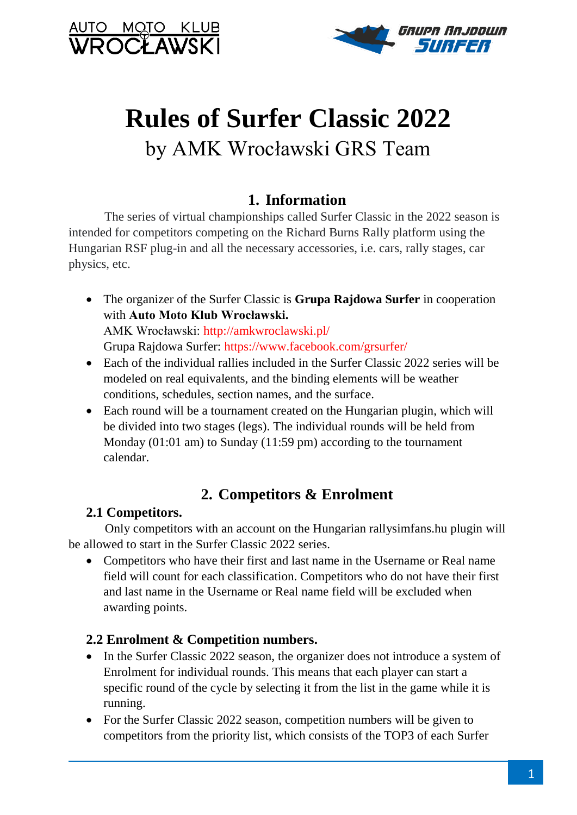



# **Rules of Surfer Classic 2022** by AMK Wrocławski GRS Team

# **1. Information**

 The series of virtual championships called Surfer Classic in the 2022 season is intended for competitors competing on the Richard Burns Rally platform using the Hungarian RSF plug-in and all the necessary accessories, i.e. cars, rally stages, car physics, etc.

- The organizer of the Surfer Classic is **Grupa Rajdowa Surfer** in cooperation with **Auto Moto Klub Wrocławski.** AMK Wrocławski: http://amkwroclawski.pl/ Grupa Rajdowa Surfer: https://www.facebook.com/grsurfer/
- Each of the individual rallies included in the Surfer Classic 2022 series will be modeled on real equivalents, and the binding elements will be weather conditions, schedules, section names, and the surface.
- Each round will be a tournament created on the Hungarian plugin, which will be divided into two stages (legs). The individual rounds will be held from Monday (01:01 am) to Sunday (11:59 pm) according to the tournament calendar.

# **2. Competitors & Enrolment**

# **2.1 Competitors.**

 Only competitors with an account on the Hungarian rallysimfans.hu plugin will be allowed to start in the Surfer Classic 2022 series.

 Competitors who have their first and last name in the Username or Real name field will count for each classification. Competitors who do not have their first and last name in the Username or Real name field will be excluded when awarding points.

# **2.2 Enrolment & Competition numbers.**

- In the Surfer Classic 2022 season, the organizer does not introduce a system of Enrolment for individual rounds. This means that each player can start a specific round of the cycle by selecting it from the list in the game while it is running.
- For the Surfer Classic 2022 season, competition numbers will be given to competitors from the priority list, which consists of the TOP3 of each Surfer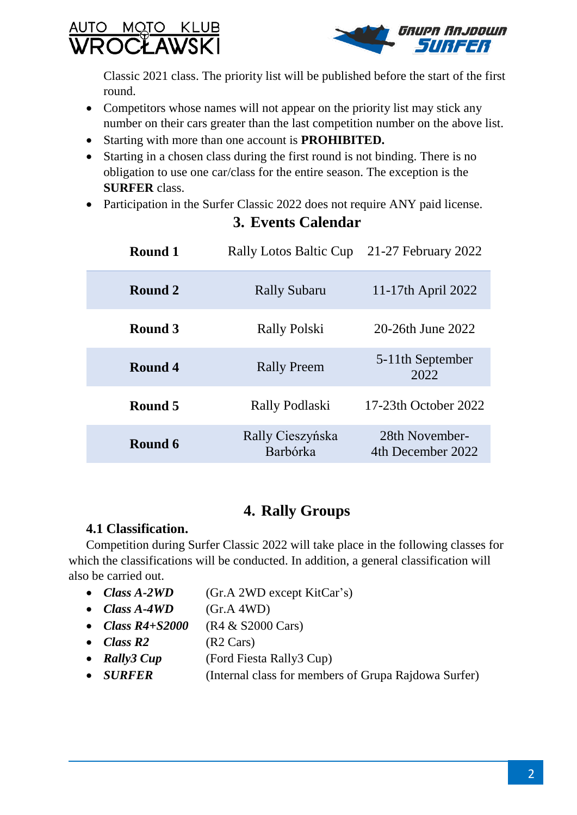



Classic 2021 class. The priority list will be published before the start of the first round.

- Competitors whose names will not appear on the priority list may stick any number on their cars greater than the last competition number on the above list.
- Starting with more than one account is **PROHIBITED.**
- Starting in a chosen class during the first round is not binding. There is no obligation to use one car/class for the entire season. The exception is the **SURFER** class.
- Participation in the Surfer Classic 2022 does not require ANY paid license.

| Round 1 | <b>Rally Lotos Baltic Cup</b> | 21-27 February 2022                  |
|---------|-------------------------------|--------------------------------------|
| Round 2 | <b>Rally Subaru</b>           | 11-17th April 2022                   |
| Round 3 | <b>Rally Polski</b>           | 20-26th June 2022                    |
| Round 4 | <b>Rally Preem</b>            | 5-11 <sup>th</sup> September<br>2022 |
| Round 5 | Rally Podlaski                | 17-23th October 2022                 |
| Round 6 | Rally Cieszyńska<br>Barbórka  | 28th November-<br>4th December 2022  |

# **3. Events Calendar**

# **4. Rally Groups**

## **4.1 Classification.**

Competition during Surfer Classic 2022 will take place in the following classes for which the classifications will be conducted. In addition, a general classification will also be carried out.

- *Class A-2WD* (Gr.A 2WD except KitCar's)
- $\bullet$  *Class*  $A 4WD$  (Gr.A 4WD)
- *Class R4+S2000* (R4 & S2000 Cars)
- *Class R2* (R2 Cars)
- *Rally3 Cup* (Ford Fiesta Rally3 Cup)
- *SURFER* (Internal class for members of Grupa Rajdowa Surfer)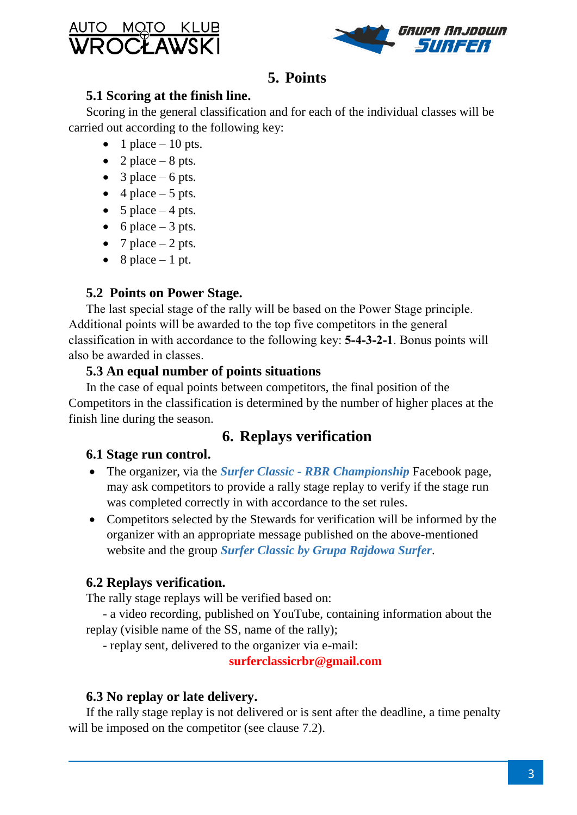# <u>NUTO MOTO KLUB</u> **DCLAWSKI**



# **5. Points**

## **5.1 Scoring at the finish line.**

Scoring in the general classification and for each of the individual classes will be carried out according to the following key:

- 1 place  $-10$  pts.
- 2 place 8 pts.
- 3 place 6 pts.
- $\bullet$  4 place 5 pts.
- 5 place  $-4$  pts.
- 6 place 3 pts.
- 7 place  $-2$  pts.
- $\bullet$  8 place 1 pt.

# **5.2 Points on Power Stage.**

The last special stage of the rally will be based on the Power Stage principle. Additional points will be awarded to the top five competitors in the general classification in with accordance to the following key: **5-4-3-2-1**. Bonus points will also be awarded in classes.

## **5.3 An equal number of points situations**

In the case of equal points between competitors, the final position of the Competitors in the classification is determined by the number of higher places at the finish line during the season.

# **6. Replays verification**

# **6.1 Stage run control.**

- The organizer, via the *Surfer Classic - RBR Championship* Facebook page, may ask competitors to provide a rally stage replay to verify if the stage run was completed correctly in with accordance to the set rules.
- Competitors selected by the Stewards for verification will be informed by the organizer with an appropriate message published on the above-mentioned website and the group *Surfer Classic by Grupa Rajdowa Surfer*.

# **6.2 Replays verification.**

The rally stage replays will be verified based on:

- a video recording, published on YouTube, containing information about the replay (visible name of the SS, name of the rally);

- replay sent, delivered to the organizer via e-mail:

**surferclassicrbr@gmail.com**

# **6.3 No replay or late delivery.**

If the rally stage replay is not delivered or is sent after the deadline, a time penalty will be imposed on the competitor (see clause 7.2).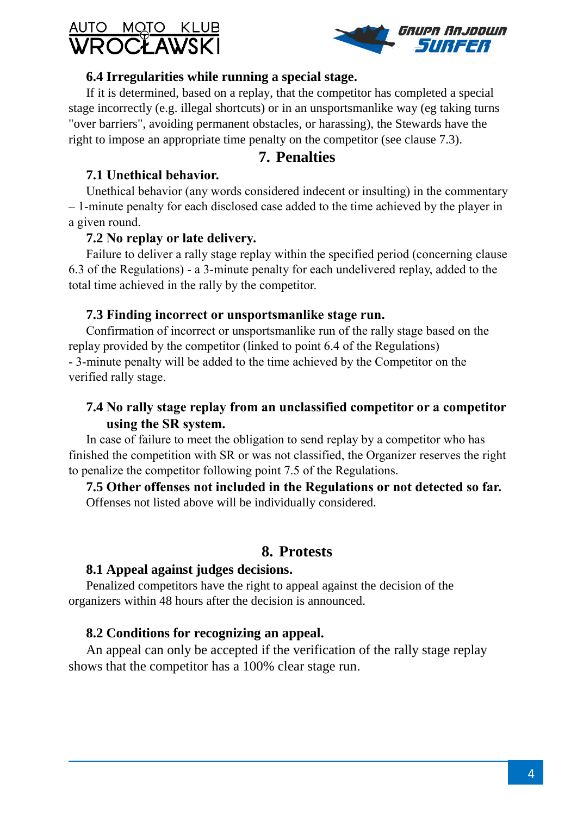



#### **6.4 Irregularities while running a special stage.**

If it is determined, based on a replay, that the competitor has completed a special stage incorrectly (e.g. illegal shortcuts) or in an unsportsmanlike way (eg taking turns "over barriers", avoiding permanent obstacles, or harassing), the Stewards have the right to impose an appropriate time penalty on the competitor (see clause 7.3).

## **7. Penalties**

#### **7.1 Unethical behavior.**

Unethical behavior (any words considered indecent or insulting) in the commentary – 1-minute penalty for each disclosed case added to the time achieved by the player in a given round.

#### **7.2 No replay or late delivery.**

Failure to deliver a rally stage replay within the specified period (concerning clause 6.3 of the Regulations) - a 3-minute penalty for each undelivered replay, added to the total time achieved in the rally by the competitor.

#### **7.3 Finding incorrect or unsportsmanlike stage run.**

Confirmation of incorrect or unsportsmanlike run of the rally stage based on the replay provided by the competitor (linked to point 6.4 of the Regulations) - 3-minute penalty will be added to the time achieved by the Competitor on the verified rally stage.

## **7.4 No rally stage replay from an unclassified competitor or a competitor using the SR system.**

In case of failure to meet the obligation to send replay by a competitor who has finished the competition with SR or was not classified, the Organizer reserves the right to penalize the competitor following point 7.5 of the Regulations.

**7.5 Other offenses not included in the Regulations or not detected so far.** Offenses not listed above will be individually considered.

#### **8. Protests**

#### **8.1 Appeal against judges decisions.**

Penalized competitors have the right to appeal against the decision of the organizers within 48 hours after the decision is announced.

#### **8.2 Conditions for recognizing an appeal.**

An appeal can only be accepted if the verification of the rally stage replay shows that the competitor has a 100% clear stage run.